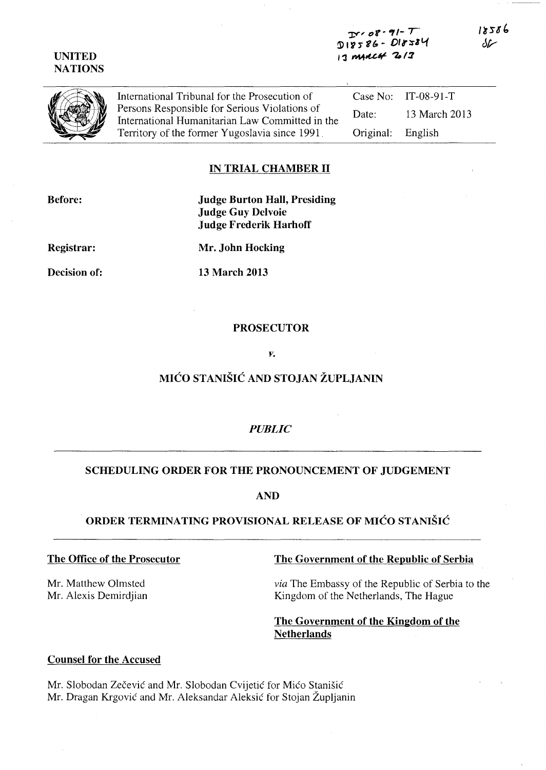$Tr \cdot \mathcal{O}8 \cdot 9!$ -  $\tau$  $718$ ) 69 - 010 - 1 13 myrc4 2013

International Tribunal for the Prosecution of Persons Responsible for Serious Violations of International Humanitarian Law Committed in the Territory of the former Yugoslavia since 1991. Case No: IT-08-91-T Date: 13 March 2013 Original: English

## **IN TRIAL CHAMBER II**

**Before:** 

**Judge Burton Hall, Presiding Judge Guy Delvoie Judge Frederik Harhoff** 

**Registrar:** 

**Decision of:** 

**Mr. John Hocking** 

**13 March 2013** 

### **PROSECUTOR**

#### *V.*

# MIĆO STANIŠIĆ **AND STOJAN ŽUPLJANIN**

## *PUBLIC*

## **SCHEDULING ORDER FOR THE PRONOUNCEMENT OF JUDGEMENT**

**AND** 

# **ORDER TERMINA TING PROVISIONAL RELEASE OF** MIĆO STANIŠIĆ

## **The Office of the Prosecutor**

Mr. Matthew Olmsted Mr. Alexis Demirdjian

# **The Government of the Republic of Serbia**

*via* The Embassy of the Republic of Serbia to the Kingdom of the Netherlands, The Hague

# **The Government of the Kingdom of the Netherlands**

# **Counsel for the Accused**

Mr. Slobodan Zečević and Mr. Slobodan Cvijetić for Mićo Stanišić Mr. Dragan Krgović and Mr. Aleksandar Aleksić for Stojan Župljanin



**UNITED NATIONS** 

18586 سمك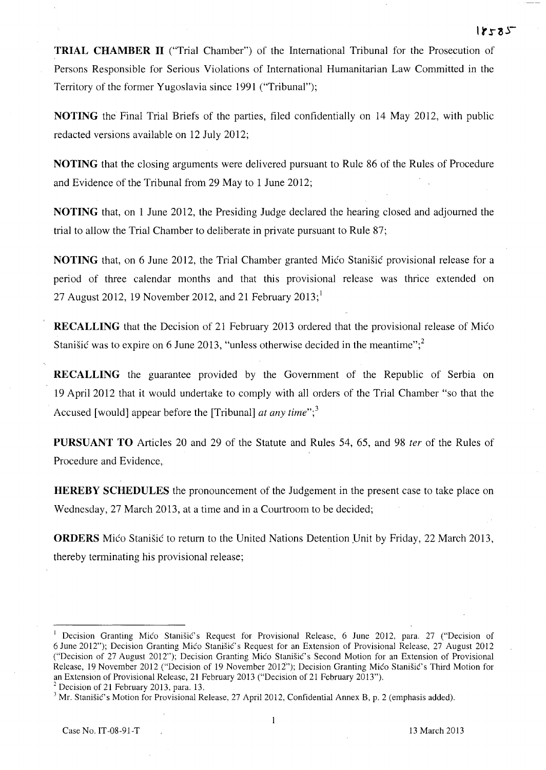**TRIAL CHAMBER II** ("Trial Chamber") of the International Tribunal for the Prosecution of Persons Responsible for Serious Violations of International Humanitarian Law Committed in the Territory of the former Yugoslavia since 1991 ("Tribunal");

**NOTING** the Final Trial Briefs of the parties, filed confidentially on 14 May 2012, with public redacted versions available on 12 July 2012;

**NOTING** that the closing arguments were delivered pursuant to Rule 86 of the Rules of Procedure and Evidence of the Tribunal from 29 May to 1 June 2012;

**NOTING** that, on 1 June 2012, the Presiding Judge declared the hearing closed and adjourned the trial to allow the Trial Chamber to deliberate in private pursuant to Rule 87;

**NOTING** that, on 6 June 2012, the Trial Chamber granted Mićo Stanišić provisional release for a period of three calendar months and that this provisional release was thrice extended on 27 August 2012, 19 November 2012, and 21 February  $2013$ ;

**RECALLING** that the Decision of 21 February 2013 ordered that the provisional release of Mićo Stanišić was to expire on 6 June 2013, "unless otherwise decided in the meantime";<sup>2</sup>

**RECALLING** the guarantee provided by the Government of the Republic of Serbia on 19 April 2012 that it would undertake to comply with all orders of the Trial Chamber "so that the Accused [would] appear before the [Tribunal] *at any time*";<sup>3</sup>

**PURSUANT TO** Articles 20 and 29 of the Statute and Rules 54, 65, and 98 *ter* of the Rules of Procedure and Evidence,.

**HEREBY SCHEDULES** the pronouncement of the Judgement in the present case to take place on Wednesday, 27 March 2013, at a time and in a Courtroom to be decided;

**ORDERS** Mićo Stanišić to return to the United Nations Detention Unit by Friday, 22 March 2013, thereby terminating his provisional release;

 $-25 - 1$ 

Decision Granting Mićo Stanišić's Request for Provisional Release, 6 June 2012, para. 27 ("Decision of 6 June 2012"); Decision Granting Mićo Stanišić's Request for an Extension of Provisional Release, 27 August 2012 ("Decision of 27 August 2012"); Decision Granting Mićo Stanišić's Second Motion for an Extension of Provisional Release, 19 November 2012 ("Decision of 19 November 2012"); Decision Granting Mićo Stanišić's Third Motion for an Extension of Provisional Release, 21 February 2013 ("Decision of 21 February 2013").

 $2^2$  Decision of 21 February 2013, para. 13.

 $3$  Mr. Stanišić's Motion for Provisional Release, 27 April 2012, Confidential Annex B, p. 2 (emphasis added).